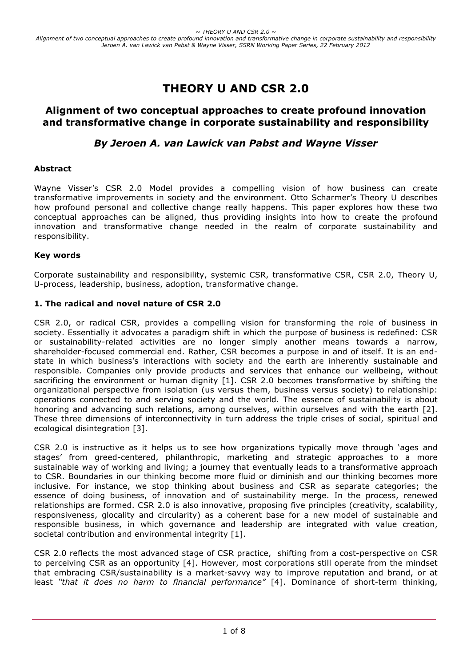# **THEORY U AND CSR 2.0**

## **Alignment of two conceptual approaches to create profound innovation and transformative change in corporate sustainability and responsibility**

# *By Jeroen A. van Lawick van Pabst and Wayne Visser*

## **Abstract**

Wayne Visser's CSR 2.0 Model provides a compelling vision of how business can create transformative improvements in society and the environment. Otto Scharmer's Theory U describes how profound personal and collective change really happens. This paper explores how these two conceptual approaches can be aligned, thus providing insights into how to create the profound innovation and transformative change needed in the realm of corporate sustainability and responsibility.

#### **Key words**

Corporate sustainability and responsibility, systemic CSR, transformative CSR, CSR 2.0, Theory U, U-process, leadership, business, adoption, transformative change.

#### **1. The radical and novel nature of CSR 2.0**

CSR 2.0, or radical CSR, provides a compelling vision for transforming the role of business in society. Essentially it advocates a paradigm shift in which the purpose of business is redefined: CSR or sustainability-related activities are no longer simply another means towards a narrow, shareholder-focused commercial end. Rather, CSR becomes a purpose in and of itself. It is an endstate in which business's interactions with society and the earth are inherently sustainable and responsible. Companies only provide products and services that enhance our wellbeing, without sacrificing the environment or human dignity [1]. CSR 2.0 becomes transformative by shifting the organizational perspective from isolation (us versus them, business versus society) to relationship: operations connected to and serving society and the world. The essence of sustainability is about honoring and advancing such relations, among ourselves, within ourselves and with the earth [2]. These three dimensions of interconnectivity in turn address the triple crises of social, spiritual and ecological disintegration [3].

CSR 2.0 is instructive as it helps us to see how organizations typically move through 'ages and stages' from greed-centered, philanthropic, marketing and strategic approaches to a more sustainable way of working and living; a journey that eventually leads to a transformative approach to CSR. Boundaries in our thinking become more fluid or diminish and our thinking becomes more inclusive. For instance, we stop thinking about business and CSR as separate categories; the essence of doing business, of innovation and of sustainability merge. In the process, renewed relationships are formed. CSR 2.0 is also innovative, proposing five principles (creativity, scalability, responsiveness, glocality and circularity) as a coherent base for a new model of sustainable and responsible business, in which governance and leadership are integrated with value creation, societal contribution and environmental integrity [1].

CSR 2.0 reflects the most advanced stage of CSR practice, shifting from a cost-perspective on CSR to perceiving CSR as an opportunity [4]. However, most corporations still operate from the mindset that embracing CSR/sustainability is a market-savvy way to improve reputation and brand, or at least *"that it does no harm to financial performance"* [4]. Dominance of short-term thinking,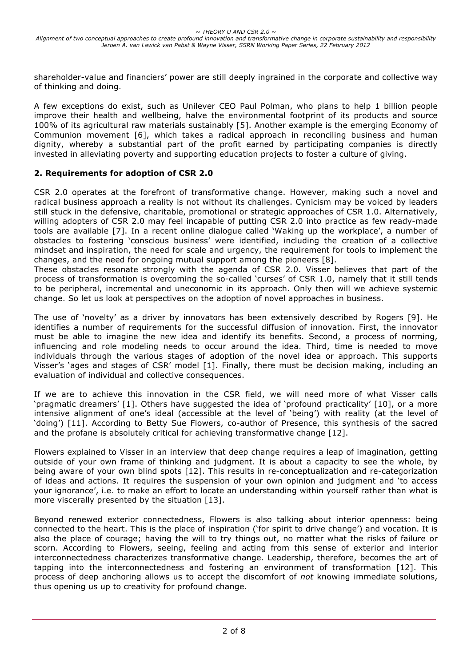shareholder-value and financiers' power are still deeply ingrained in the corporate and collective way of thinking and doing.

A few exceptions do exist, such as Unilever CEO Paul Polman, who plans to help 1 billion people improve their health and wellbeing, halve the environmental footprint of its products and source 100% of its agricultural raw materials sustainably [5]. Another example is the emerging Economy of Communion movement [6], which takes a radical approach in reconciling business and human dignity, whereby a substantial part of the profit earned by participating companies is directly invested in alleviating poverty and supporting education projects to foster a culture of giving.

## **2. Requirements for adoption of CSR 2.0**

CSR 2.0 operates at the forefront of transformative change. However, making such a novel and radical business approach a reality is not without its challenges. Cynicism may be voiced by leaders still stuck in the defensive, charitable, promotional or strategic approaches of CSR 1.0. Alternatively, willing adopters of CSR 2.0 may feel incapable of putting CSR 2.0 into practice as few ready-made tools are available [7]. In a recent online dialogue called 'Waking up the workplace', a number of obstacles to fostering 'conscious business' were identified, including the creation of a collective mindset and inspiration, the need for scale and urgency, the requirement for tools to implement the changes, and the need for ongoing mutual support among the pioneers [8].

These obstacles resonate strongly with the agenda of CSR 2.0. Visser believes that part of the process of transformation is overcoming the so-called 'curses' of CSR 1.0, namely that it still tends to be peripheral, incremental and uneconomic in its approach. Only then will we achieve systemic change. So let us look at perspectives on the adoption of novel approaches in business.

The use of 'novelty' as a driver by innovators has been extensively described by Rogers [9]. He identifies a number of requirements for the successful diffusion of innovation. First, the innovator must be able to imagine the new idea and identify its benefits. Second, a process of norming, influencing and role modeling needs to occur around the idea. Third, time is needed to move individuals through the various stages of adoption of the novel idea or approach. This supports Visser's 'ages and stages of CSR' model [1]. Finally, there must be decision making, including an evaluation of individual and collective consequences.

If we are to achieve this innovation in the CSR field, we will need more of what Visser calls 'pragmatic dreamers' [1]. Others have suggested the idea of 'profound practicality' [10], or a more intensive alignment of one's ideal (accessible at the level of 'being') with reality (at the level of 'doing') [11]. According to Betty Sue Flowers, co-author of Presence, this synthesis of the sacred and the profane is absolutely critical for achieving transformative change [12].

Flowers explained to Visser in an interview that deep change requires a leap of imagination, getting outside of your own frame of thinking and judgment. It is about a capacity to see the whole, by being aware of your own blind spots [12]. This results in re-conceptualization and re-categorization of ideas and actions. It requires the suspension of your own opinion and judgment and 'to access your ignorance', i.e. to make an effort to locate an understanding within yourself rather than what is more viscerally presented by the situation [13].

Beyond renewed exterior connectedness, Flowers is also talking about interior openness: being connected to the heart. This is the place of inspiration ('for spirit to drive change') and vocation. It is also the place of courage; having the will to try things out, no matter what the risks of failure or scorn. According to Flowers, seeing, feeling and acting from this sense of exterior and interior interconnectedness characterizes transformative change. Leadership, therefore, becomes the art of tapping into the interconnectedness and fostering an environment of transformation [12]. This process of deep anchoring allows us to accept the discomfort of *not* knowing immediate solutions, thus opening us up to creativity for profound change.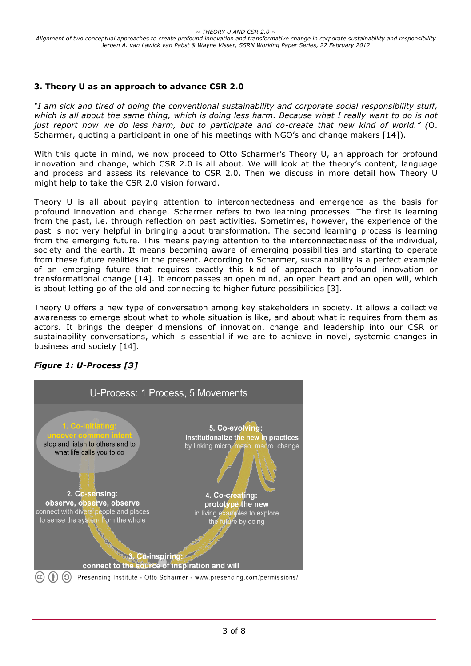## **3. Theory U as an approach to advance CSR 2.0**

*"I am sick and tired of doing the conventional sustainability and corporate social responsibility stuff, which is all about the same thing, which is doing less harm. Because what I really want to do is not just report how we do less harm, but to participate and co-create that new kind of world." (*O. Scharmer, quoting a participant in one of his meetings with NGO's and change makers [14]).

With this quote in mind, we now proceed to Otto Scharmer's Theory U, an approach for profound innovation and change, which CSR 2.0 is all about. We will look at the theory's content, language and process and assess its relevance to CSR 2.0. Then we discuss in more detail how Theory U might help to take the CSR 2.0 vision forward.

Theory U is all about paying attention to interconnectedness and emergence as the basis for profound innovation and change*.* Scharmer refers to two learning processes. The first is learning from the past, i.e. through reflection on past activities. Sometimes, however, the experience of the past is not very helpful in bringing about transformation. The second learning process is learning from the emerging future. This means paying attention to the interconnectedness of the individual, society and the earth. It means becoming aware of emerging possibilities and starting to operate from these future realities in the present. According to Scharmer, sustainability is a perfect example of an emerging future that requires exactly this kind of approach to profound innovation or transformational change [14]. It encompasses an open mind, an open heart and an open will, which is about letting go of the old and connecting to higher future possibilities [3].

Theory U offers a new type of conversation among key stakeholders in society. It allows a collective awareness to emerge about what to whole situation is like, and about what it requires from them as actors. It brings the deeper dimensions of innovation, change and leadership into our CSR or sustainability conversations, which is essential if we are to achieve in novel, systemic changes in business and society [14].



# *Figure 1: U-Process [3]*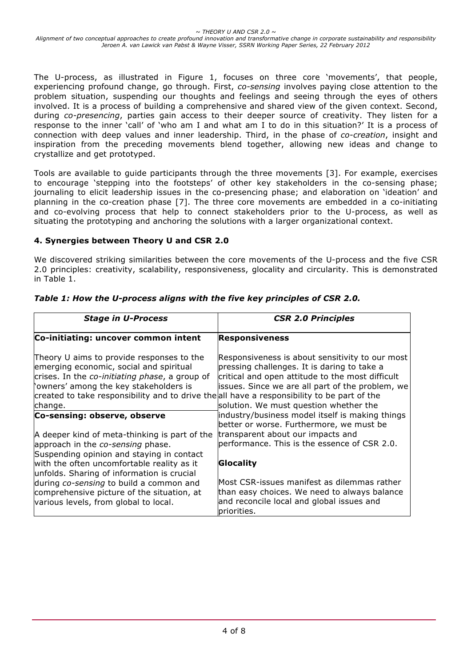The U-process, as illustrated in Figure 1, focuses on three core 'movements', that people, experiencing profound change, go through. First, *co-sensing* involves paying close attention to the problem situation, suspending our thoughts and feelings and seeing through the eyes of others involved. It is a process of building a comprehensive and shared view of the given context. Second, during *co-presencing*, parties gain access to their deeper source of creativity. They listen for a response to the inner 'call' of 'who am I and what am I to do in this situation?' It is a process of connection with deep values and inner leadership. Third, in the phase of *co-creation*, insight and inspiration from the preceding movements blend together, allowing new ideas and change to crystallize and get prototyped.

Tools are available to guide participants through the three movements [3]. For example, exercises to encourage 'stepping into the footsteps' of other key stakeholders in the co-sensing phase; journaling to elicit leadership issues in the co-presencing phase; and elaboration on 'ideation' and planning in the co-creation phase [7]. The three core movements are embedded in a co-initiating and co-evolving process that help to connect stakeholders prior to the U-process, as well as situating the prototyping and anchoring the solutions with a larger organizational context.

## **4. Synergies between Theory U and CSR 2.0**

We discovered striking similarities between the core movements of the U-process and the five CSR 2.0 principles: creativity, scalability, responsiveness, glocality and circularity. This is demonstrated in Table 1.

| <b>Stage in U-Process</b>                                                                                                                                                                                                                                                                  | <b>CSR 2.0 Principles</b>                                                                                                                                                                                                                        |
|--------------------------------------------------------------------------------------------------------------------------------------------------------------------------------------------------------------------------------------------------------------------------------------------|--------------------------------------------------------------------------------------------------------------------------------------------------------------------------------------------------------------------------------------------------|
| Co-initiating: uncover common intent                                                                                                                                                                                                                                                       | Responsiveness                                                                                                                                                                                                                                   |
| Theory U aims to provide responses to the<br>emerging economic, social and spiritual<br>crises. In the co-initiating phase, a group of<br>'owners' among the key stakeholders is<br>created to take responsibility and to drive the all have a responsibility to be part of the<br>change. | Responsiveness is about sensitivity to our most<br>pressing challenges. It is daring to take a<br>critical and open attitude to the most difficult<br>issues. Since we are all part of the problem, we<br>solution. We must question whether the |
| Co-sensing: observe, observe                                                                                                                                                                                                                                                               | industry/business model itself is making things<br>better or worse. Furthermore, we must be                                                                                                                                                      |
| A deeper kind of meta-thinking is part of the<br>approach in the co-sensing phase.<br>Suspending opinion and staying in contact                                                                                                                                                            | transparent about our impacts and<br>performance. This is the essence of CSR 2.0.                                                                                                                                                                |
| with the often uncomfortable reality as it<br>unfolds. Sharing of information is crucial                                                                                                                                                                                                   | Glocality                                                                                                                                                                                                                                        |
| during co-sensing to build a common and<br>comprehensive picture of the situation, at<br>various levels, from global to local.                                                                                                                                                             | Most CSR-issues manifest as dilemmas rather<br>than easy choices. We need to always balance<br>and reconcile local and global issues and<br>priorities.                                                                                          |

*Table 1: How the U-process aligns with the five key principles of CSR 2.0.*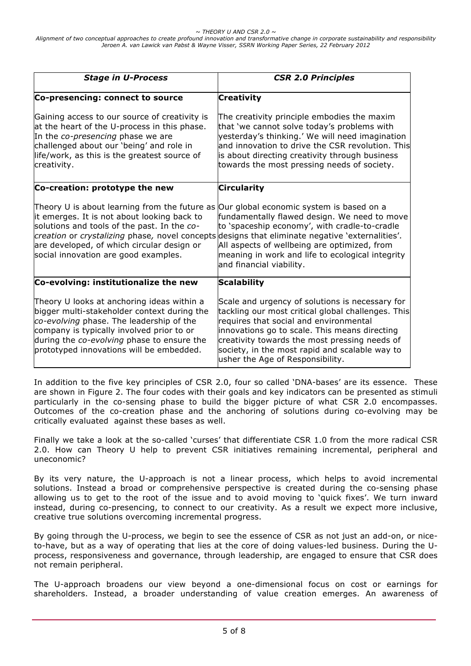*~ THEORY U AND CSR 2.0 ~*

*Alignment of two conceptual approaches to create profound innovation and transformative change in corporate sustainability and responsibility Jeroen A. van Lawick van Pabst & Wayne Visser, SSRN Working Paper Series, 22 February 2012*

| <b>Stage in U-Process</b>                                                                                                                                                                                                                                                    | <b>CSR 2.0 Principles</b>                                                                                                                                                                                                                                                                                                                                                    |
|------------------------------------------------------------------------------------------------------------------------------------------------------------------------------------------------------------------------------------------------------------------------------|------------------------------------------------------------------------------------------------------------------------------------------------------------------------------------------------------------------------------------------------------------------------------------------------------------------------------------------------------------------------------|
| Co-presencing: connect to source                                                                                                                                                                                                                                             | <b>Creativity</b>                                                                                                                                                                                                                                                                                                                                                            |
| Gaining access to our source of creativity is<br>at the heart of the U-process in this phase.<br>In the co-presencing phase we are<br>challenged about our 'being' and role in<br>life/work, as this is the greatest source of<br>creativity.                                | The creativity principle embodies the maxim<br>that 'we cannot solve today's problems with<br>yesterday's thinking.' We will need imagination<br>and innovation to drive the CSR revolution. This<br>is about directing creativity through business<br>towards the most pressing needs of society.                                                                           |
| Co-creation: prototype the new                                                                                                                                                                                                                                               | <b>Circularity</b>                                                                                                                                                                                                                                                                                                                                                           |
| Theory U is about learning from the future as<br>it emerges. It is not about looking back to<br>solutions and tools of the past. In the co-<br>are developed, of which circular design or<br>social innovation are good examples.                                            | Our global economic system is based on a<br>fundamentally flawed design. We need to move<br>to 'spaceship economy', with cradle-to-cradle<br>creation or crystalizing phase, novel concepts designs that eliminate negative 'externalities'.<br>All aspects of wellbeing are optimized, from<br>meaning in work and life to ecological integrity<br>and financial viability. |
| Co-evolving: institutionalize the new                                                                                                                                                                                                                                        | <b>Scalability</b>                                                                                                                                                                                                                                                                                                                                                           |
| Theory U looks at anchoring ideas within a<br>bigger multi-stakeholder context during the<br>co-evolving phase. The leadership of the<br>company is typically involved prior to or<br>during the co-evolving phase to ensure the<br>prototyped innovations will be embedded. | Scale and urgency of solutions is necessary for<br>tackling our most critical global challenges. This<br>requires that social and environmental<br>innovations go to scale. This means directing<br>creativity towards the most pressing needs of<br>society, in the most rapid and scalable way to<br>usher the Age of Responsibility.                                      |

In addition to the five key principles of CSR 2.0, four so called 'DNA-bases' are its essence. These are shown in Figure 2. The four codes with their goals and key indicators can be presented as stimuli particularly in the co-sensing phase to build the bigger picture of what CSR 2.0 encompasses. Outcomes of the co-creation phase and the anchoring of solutions during co-evolving may be critically evaluated against these bases as well.

Finally we take a look at the so-called 'curses' that differentiate CSR 1.0 from the more radical CSR 2.0. How can Theory U help to prevent CSR initiatives remaining incremental, peripheral and uneconomic?

By its very nature, the U-approach is not a linear process, which helps to avoid incremental solutions. Instead a broad or comprehensive perspective is created during the co-sensing phase allowing us to get to the root of the issue and to avoid moving to 'quick fixes'. We turn inward instead, during co-presencing, to connect to our creativity. As a result we expect more inclusive, creative true solutions overcoming incremental progress.

By going through the U-process, we begin to see the essence of CSR as not just an add-on, or niceto-have, but as a way of operating that lies at the core of doing values-led business. During the Uprocess, responsiveness and governance, through leadership, are engaged to ensure that CSR does not remain peripheral.

The U-approach broadens our view beyond a one-dimensional focus on cost or earnings for shareholders. Instead, a broader understanding of value creation emerges. An awareness of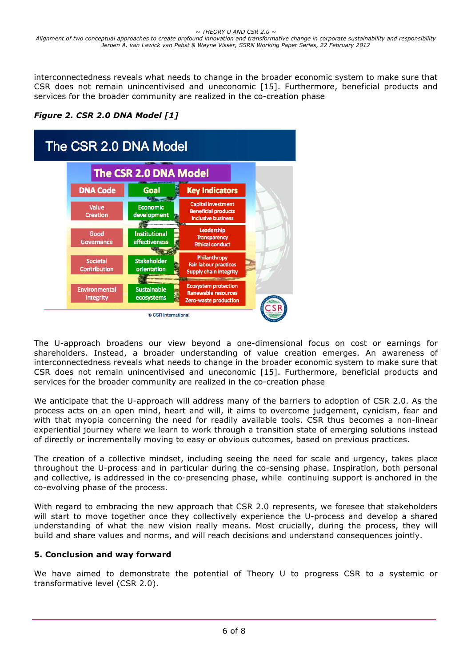interconnectedness reveals what needs to change in the broader economic system to make sure that CSR does not remain unincentivised and uneconomic [15]. Furthermore, beneficial products and services for the broader community are realized in the co-creation phase

*Figure 2. CSR 2.0 DNA Model [1]*



The U-approach broadens our view beyond a one-dimensional focus on cost or earnings for shareholders. Instead, a broader understanding of value creation emerges. An awareness of interconnectedness reveals what needs to change in the broader economic system to make sure that CSR does not remain unincentivised and uneconomic [15]. Furthermore, beneficial products and services for the broader community are realized in the co-creation phase

We anticipate that the U-approach will address many of the barriers to adoption of CSR 2.0. As the process acts on an open mind, heart and will, it aims to overcome judgement, cynicism, fear and with that myopia concerning the need for readily available tools. CSR thus becomes a non-linear experiential journey where we learn to work through a transition state of emerging solutions instead of directly or incrementally moving to easy or obvious outcomes, based on previous practices.

The creation of a collective mindset, including seeing the need for scale and urgency, takes place throughout the U-process and in particular during the co-sensing phase. Inspiration, both personal and collective, is addressed in the co-presencing phase, while continuing support is anchored in the co-evolving phase of the process.

With regard to embracing the new approach that CSR 2.0 represents, we foresee that stakeholders will start to move together once they collectively experience the U-process and develop a shared understanding of what the new vision really means. Most crucially, during the process, they will build and share values and norms, and will reach decisions and understand consequences jointly.

## **5. Conclusion and way forward**

We have aimed to demonstrate the potential of Theory U to progress CSR to a systemic or transformative level (CSR 2.0).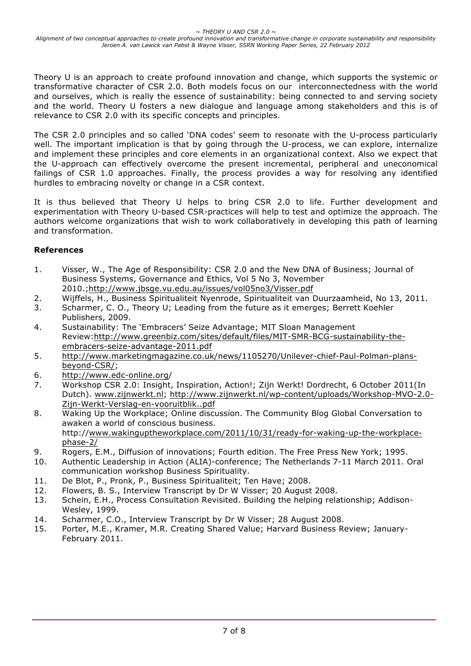Theory U is an approach to create profound innovation and change, which supports the systemic or transformative character of CSR 2.0. Both models focus on our interconnectedness with the world and ourselves, which is really the essence of sustainability: being connected to and serving society and the world. Theory U fosters a new dialogue and language among stakeholders and this is of relevance to CSR 2.0 with its specific concepts and principles.

The CSR 2.0 principles and so called 'DNA codes' seem to resonate with the U-process particularly well. The important implication is that by going through the U-process, we can explore, internalize and implement these principles and core elements in an organizational context. Also we expect that the U-approach can effectively overcome the present incremental, peripheral and uneconomical failings of CSR 1.0 approaches. Finally, the process provides a way for resolving any identified hurdles to embracing novelty or change in a CSR context.

It is thus believed that Theory U helps to bring CSR 2.0 to life. Further development and experimentation with Theory U-based CSR-practices will help to test and optimize the approach. The authors welcome organizations that wish to work collaboratively in developing this path of learning and transformation.

## **References**

- 1. Visser, W., The Age of Responsibility: CSR 2.0 and the New DNA of Business; Journal of Business Systems, Governance and Ethics, Vol 5 No 3, November 2010.;http://www.jbsge.vu.edu.au/issues/vol05no3/Visser.pdf
- 2. Wijffels, H., Business Spiritualiteit Nyenrode, Spiritualiteit van Duurzaamheid, No 13, 2011.
- 3. Scharmer, C. O., Theory U; Leading from the future as it emerges; Berrett Koehler Publishers, 2009.
- 4. Sustainability: The 'Embracers' Seize Advantage; MIT Sloan Management Review:http://www.greenbiz.com/sites/default/files/MIT-SMR-BCG-sustainability-theembracers-seize-advantage-2011.pdf
- 5. http://www.marketingmagazine.co.uk/news/1105270/Unilever-chief-Paul-Polman-plansbeyond-CSR/;
- 6. http://www.edc-online.org/
- 7. Workshop CSR 2.0: Insight, Inspiration, Action!; Zijn Werkt! Dordrecht, 6 October 2011(In Dutch). www.zijnwerkt.nl; http://www.zijnwerkt.nl/wp-content/uploads/Workshop-MVO-2.0- Zijn-Werkt-Verslag-en-vooruitblik..pdf
- 8. Waking Up the Workplace; Online discussion. The Community Blog Global Conversation to awaken a world of conscious business. http://www.wakinguptheworkplace.com/2011/10/31/ready-for-waking-up-the-workplacephase-2/
- 9. Rogers, E.M., Diffusion of innovations; Fourth edition. The Free Press New York; 1995.
- 10. Authentic Leadership in Action (ALIA)-conference; The Netherlands 7-11 March 2011. Oral communication workshop Business Spirituality.
- 11. De Blot, P., Pronk, P., Business Spiritualiteit; Ten Have; 2008.
- 12. Flowers, B. S., Interview Transcript by Dr W Visser; 20 August 2008.
- 13. Schein, E.H., Process Consultation Revisited. Building the helping relationship; Addison-Wesley, 1999.
- 14. Scharmer, C.O., Interview Transcript by Dr W Visser; 28 August 2008.
- 15. Porter, M.E., Kramer, M.R. Creating Shared Value; Harvard Business Review; January-February 2011.